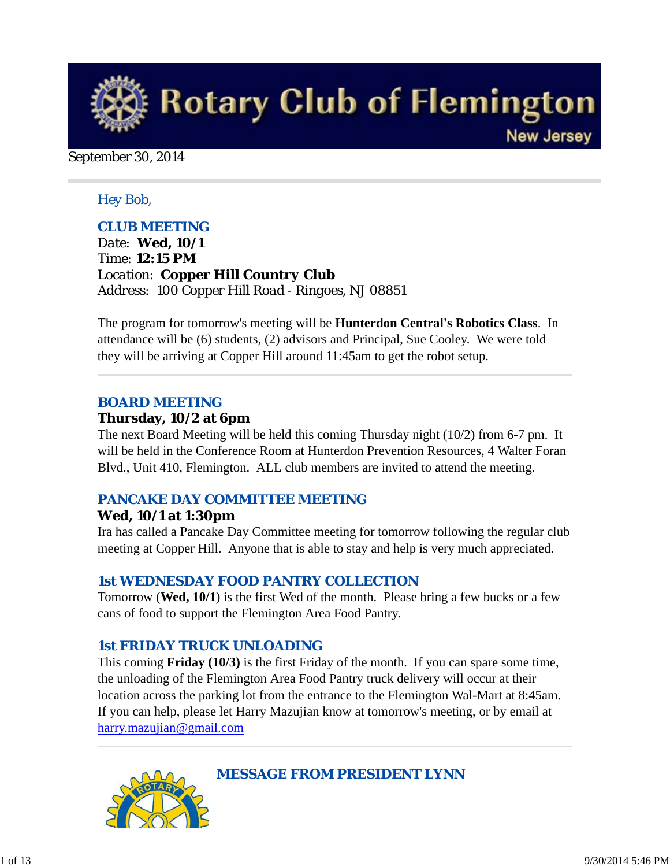

September 30, 2014

#### *Hey Bob,*

#### *CLUB MEETING*

*Date: Wed, 10/1 Time: 12:15 PM Location: Copper Hill Country Club Address: 100 Copper Hill Road - Ringoes, NJ 08851*

The program for tomorrow's meeting will be **Hunterdon Central's Robotics Class**. In attendance will be (6) students, (2) advisors and Principal, Sue Cooley. We were told they will be arriving at Copper Hill around 11:45am to get the robot setup.

#### *BOARD MEETING*

#### **Thursday, 10/2 at 6pm**

The next Board Meeting will be held this coming Thursday night (10/2) from 6-7 pm. It will be held in the Conference Room at Hunterdon Prevention Resources, 4 Walter Foran Blvd., Unit 410, Flemington. ALL club members are invited to attend the meeting.

#### *PANCAKE DAY COMMITTEE MEETING*

#### **Wed, 10/1 at 1:30pm**

Ira has called a Pancake Day Committee meeting for tomorrow following the regular club meeting at Copper Hill. Anyone that is able to stay and help is very much appreciated.

#### *1st WEDNESDAY FOOD PANTRY COLLECTION*

Tomorrow (**Wed, 10/1**) is the first Wed of the month. Please bring a few bucks or a few cans of food to support the Flemington Area Food Pantry.

#### *1st FRIDAY TRUCK UNLOADING*

This coming **Friday (10/3)** is the first Friday of the month. If you can spare some time, the unloading of the Flemington Area Food Pantry truck delivery will occur at their location across the parking lot from the entrance to the Flemington Wal-Mart at 8:45am. If you can help, please let Harry Mazujian know at tomorrow's meeting, or by email at harry.mazujian@gmail.com



*MESSAGE FROM PRESIDENT LYNN*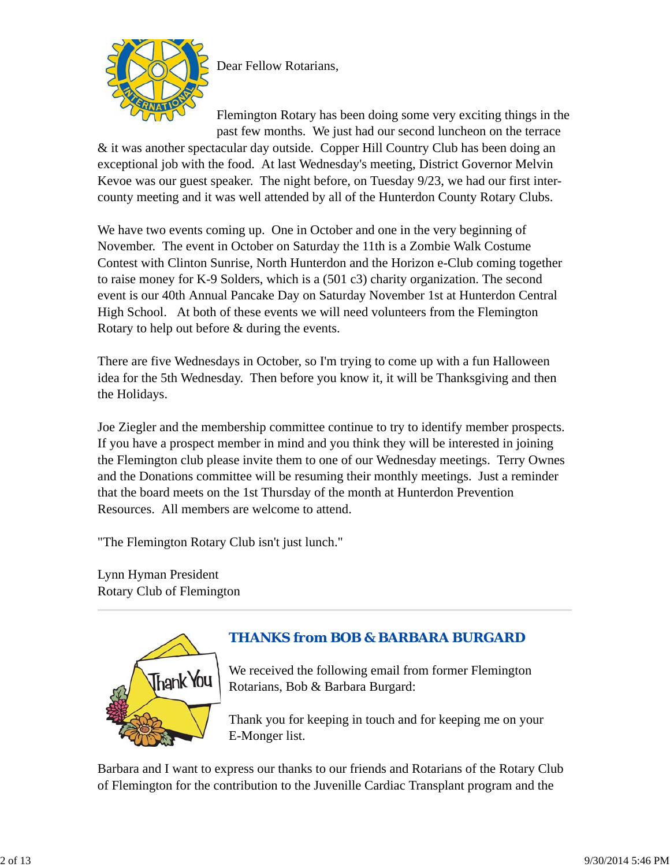

Dear Fellow Rotarians,

Flemington Rotary has been doing some very exciting things in the past few months. We just had our second luncheon on the terrace

& it was another spectacular day outside. Copper Hill Country Club has been doing an exceptional job with the food. At last Wednesday's meeting, District Governor Melvin Kevoe was our guest speaker. The night before, on Tuesday 9/23, we had our first intercounty meeting and it was well attended by all of the Hunterdon County Rotary Clubs.

We have two events coming up. One in October and one in the very beginning of November. The event in October on Saturday the 11th is a Zombie Walk Costume Contest with Clinton Sunrise, North Hunterdon and the Horizon e-Club coming together to raise money for K-9 Solders, which is a (501 c3) charity organization. The second event is our 40th Annual Pancake Day on Saturday November 1st at Hunterdon Central High School. At both of these events we will need volunteers from the Flemington Rotary to help out before & during the events.

There are five Wednesdays in October, so I'm trying to come up with a fun Halloween idea for the 5th Wednesday. Then before you know it, it will be Thanksgiving and then the Holidays.

Joe Ziegler and the membership committee continue to try to identify member prospects. If you have a prospect member in mind and you think they will be interested in joining the Flemington club please invite them to one of our Wednesday meetings. Terry Ownes and the Donations committee will be resuming their monthly meetings. Just a reminder that the board meets on the 1st Thursday of the month at Hunterdon Prevention Resources. All members are welcome to attend.

"The Flemington Rotary Club isn't just lunch."

Lynn Hyman President Rotary Club of Flemington



# *THANKS from BOB & BARBARA BURGARD*

We received the following email from former Flemington Rotarians, Bob & Barbara Burgard:

Thank you for keeping in touch and for keeping me on your E-Monger list.

Barbara and I want to express our thanks to our friends and Rotarians of the Rotary Club of Flemington for the contribution to the Juvenille Cardiac Transplant program and the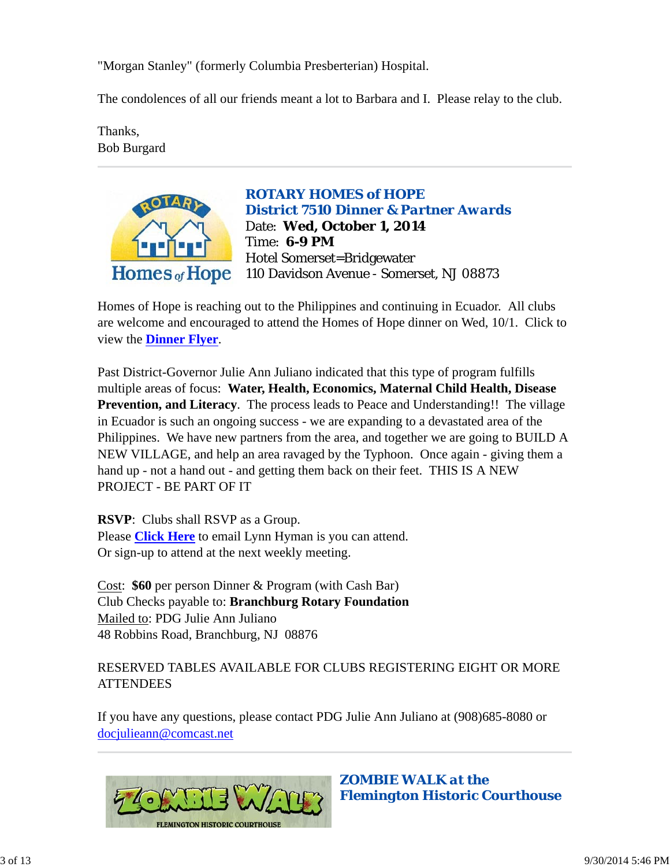"Morgan Stanley" (formerly Columbia Presberterian) Hospital.

The condolences of all our friends meant a lot to Barbara and I. Please relay to the club.

Thanks, Bob Burgard



*ROTARY HOMES of HOPE District 7510 Dinner & Partner Awards* Date: **Wed, October 1, 2014** Time: **6-9 PM** Hotel Somerset=Bridgewater 110 Davidson Avenue - Somerset, NJ 08873

Homes of Hope is reaching out to the Philippines and continuing in Ecuador. All clubs are welcome and encouraged to attend the Homes of Hope dinner on Wed, 10/1. Click to view the **Dinner Flyer**.

Past District-Governor Julie Ann Juliano indicated that this type of program fulfills multiple areas of focus: **Water, Health, Economics, Maternal Child Health, Disease Prevention, and Literacy**. The process leads to Peace and Understanding!! The village in Ecuador is such an ongoing success - we are expanding to a devastated area of the Philippines. We have new partners from the area, and together we are going to BUILD A NEW VILLAGE, and help an area ravaged by the Typhoon. Once again - giving them a hand up - not a hand out - and getting them back on their feet. THIS IS A NEW PROJECT - BE PART OF IT

**RSVP**: Clubs shall RSVP as a Group. Please **Click Here** to email Lynn Hyman is you can attend. Or sign-up to attend at the next weekly meeting.

Cost: **\$60** per person Dinner & Program (with Cash Bar) Club Checks payable to: **Branchburg Rotary Foundation** Mailed to: PDG Julie Ann Juliano 48 Robbins Road, Branchburg, NJ 08876

### RESERVED TABLES AVAILABLE FOR CLUBS REGISTERING EIGHT OR MORE **ATTENDEES**

If you have any questions, please contact PDG Julie Ann Juliano at (908)685-8080 or docjulieann@comcast.net



*ZOMBIE WALK at the Flemington Historic Courthouse*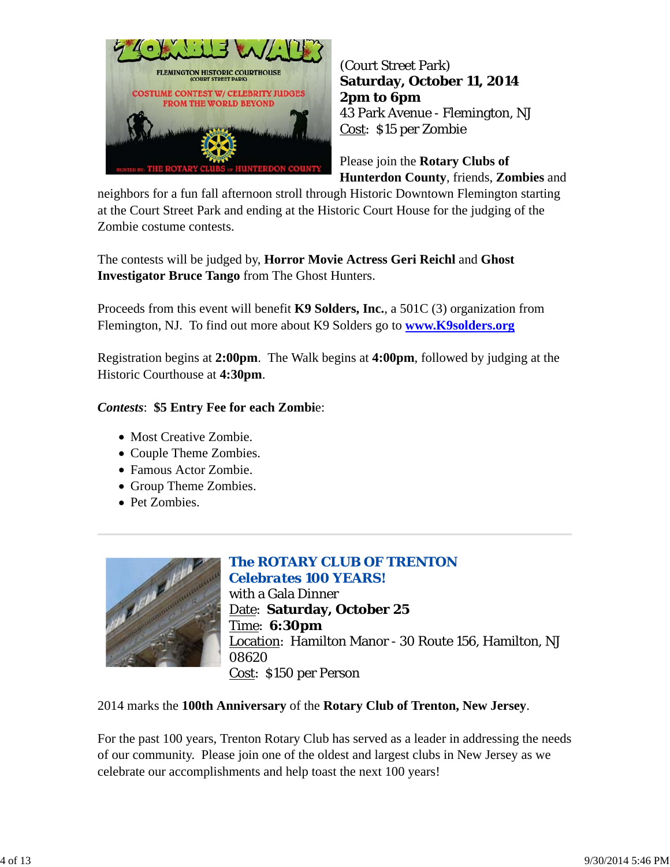

(Court Street Park) **Saturday, October 11, 2014 2pm to 6pm** 43 Park Avenue - Flemington, NJ Cost: \$15 per Zombie

Please join the **Rotary Clubs of Hunterdon County**, friends, **Zombies** and

neighbors for a fun fall afternoon stroll through Historic Downtown Flemington starting at the Court Street Park and ending at the Historic Court House for the judging of the Zombie costume contests.

The contests will be judged by, **Horror Movie Actress Geri Reichl** and **Ghost Investigator Bruce Tango** from The Ghost Hunters.

Proceeds from this event will benefit **K9 Solders, Inc.**, a 501C (3) organization from Flemington, NJ. To find out more about K9 Solders go to **www.K9solders.org**

Registration begins at **2:00pm**. The Walk begins at **4:00pm**, followed by judging at the Historic Courthouse at **4:30pm**.

#### *Contests*: **\$5 Entry Fee for each Zombi**e:

- Most Creative Zombie.
- Couple Theme Zombies.
- Famous Actor Zombie.
- Group Theme Zombies.
- Pet Zombies.



## *The ROTARY CLUB OF TRENTON Celebrates 100 YEARS!*

with a Gala Dinner Date: **Saturday, October 25** Time: **6:30pm** Location: Hamilton Manor - 30 Route 156, Hamilton, NJ 08620 Cost: \$150 per Person

2014 marks the **100th Anniversary** of the **Rotary Club of Trenton, New Jersey**.

For the past 100 years, Trenton Rotary Club has served as a leader in addressing the needs of our community. Please join one of the oldest and largest clubs in New Jersey as we celebrate our accomplishments and help toast the next 100 years!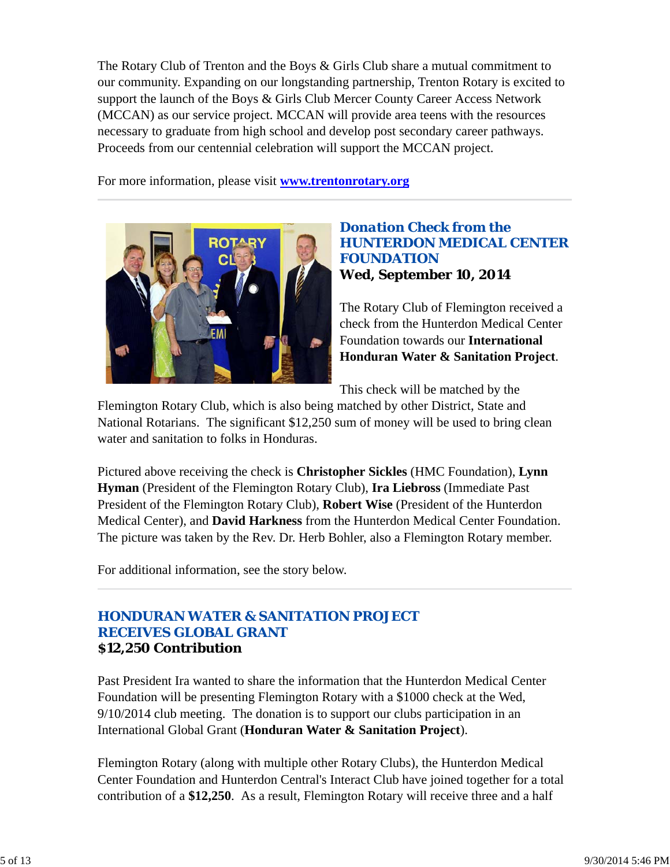The Rotary Club of Trenton and the Boys & Girls Club share a mutual commitment to our community. Expanding on our longstanding partnership, Trenton Rotary is excited to support the launch of the Boys & Girls Club Mercer County Career Access Network (MCCAN) as our service project. MCCAN will provide area teens with the resources necessary to graduate from high school and develop post secondary career pathways. Proceeds from our centennial celebration will support the MCCAN project.

For more information, please visit **www.trentonrotary.org**



### *Donation Check from the HUNTERDON MEDICAL CENTER FOUNDATION* **Wed, September 10, 2014**

The Rotary Club of Flemington received a check from the Hunterdon Medical Center Foundation towards our **International Honduran Water & Sanitation Project**.

This check will be matched by the

Flemington Rotary Club, which is also being matched by other District, State and National Rotarians. The significant \$12,250 sum of money will be used to bring clean water and sanitation to folks in Honduras.

Pictured above receiving the check is **Christopher Sickles** (HMC Foundation), **Lynn Hyman** (President of the Flemington Rotary Club), **Ira Liebross** (Immediate Past President of the Flemington Rotary Club), **Robert Wise** (President of the Hunterdon Medical Center), and **David Harkness** from the Hunterdon Medical Center Foundation. The picture was taken by the Rev. Dr. Herb Bohler, also a Flemington Rotary member.

For additional information, see the story below.

### *HONDURAN WATER & SANITATION PROJECT RECEIVES GLOBAL GRANT* **\$12,250 Contribution**

Past President Ira wanted to share the information that the Hunterdon Medical Center Foundation will be presenting Flemington Rotary with a \$1000 check at the Wed, 9/10/2014 club meeting. The donation is to support our clubs participation in an International Global Grant (**Honduran Water & Sanitation Project**).

Flemington Rotary (along with multiple other Rotary Clubs), the Hunterdon Medical Center Foundation and Hunterdon Central's Interact Club have joined together for a total contribution of a **\$12,250**. As a result, Flemington Rotary will receive three and a half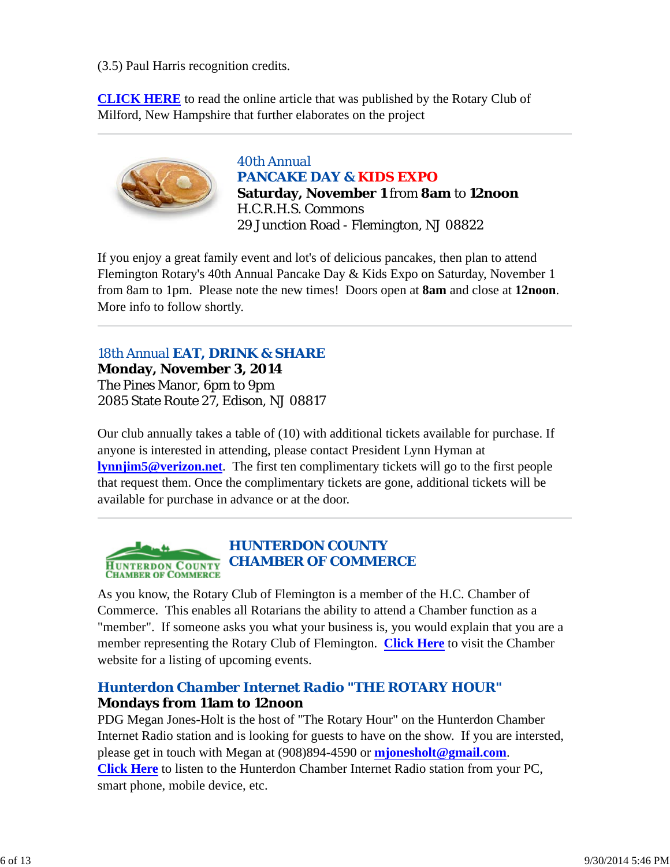(3.5) Paul Harris recognition credits.

**CLICK HERE** to read the online article that was published by the Rotary Club of Milford, New Hampshire that further elaborates on the project



*40th Annual PANCAKE DAY & KIDS EXPO* **Saturday, November 1** from **8am** to **12noon** H.C.R.H.S. Commons 29 Junction Road - Flemington, NJ 08822

If you enjoy a great family event and lot's of delicious pancakes, then plan to attend Flemington Rotary's 40th Annual Pancake Day & Kids Expo on Saturday, November 1 from 8am to 1pm. Please note the new times! Doors open at **8am** and close at **12noon**. More info to follow shortly.

*18th Annual EAT, DRINK & SHARE* **Monday, November 3, 2014** The Pines Manor, 6pm to 9pm 2085 State Route 27, Edison, NJ 08817

Our club annually takes a table of (10) with additional tickets available for purchase. If anyone is interested in attending, please contact President Lynn Hyman at **lynnjim5@verizon.net**. The first ten complimentary tickets will go to the first people that request them. Once the complimentary tickets are gone, additional tickets will be available for purchase in advance or at the door.



As you know, the Rotary Club of Flemington is a member of the H.C. Chamber of Commerce. This enables all Rotarians the ability to attend a Chamber function as a "member". If someone asks you what your business is, you would explain that you are a member representing the Rotary Club of Flemington. **Click Here** to visit the Chamber website for a listing of upcoming events.

## *Hunterdon Chamber Internet Radio "THE ROTARY HOUR"*

### **Mondays from 11am to 12noon**

PDG Megan Jones-Holt is the host of "The Rotary Hour" on the Hunterdon Chamber Internet Radio station and is looking for guests to have on the show. If you are intersted, please get in touch with Megan at (908)894-4590 or **mjonesholt@gmail.com**. **Click Here** to listen to the Hunterdon Chamber Internet Radio station from your PC, smart phone, mobile device, etc.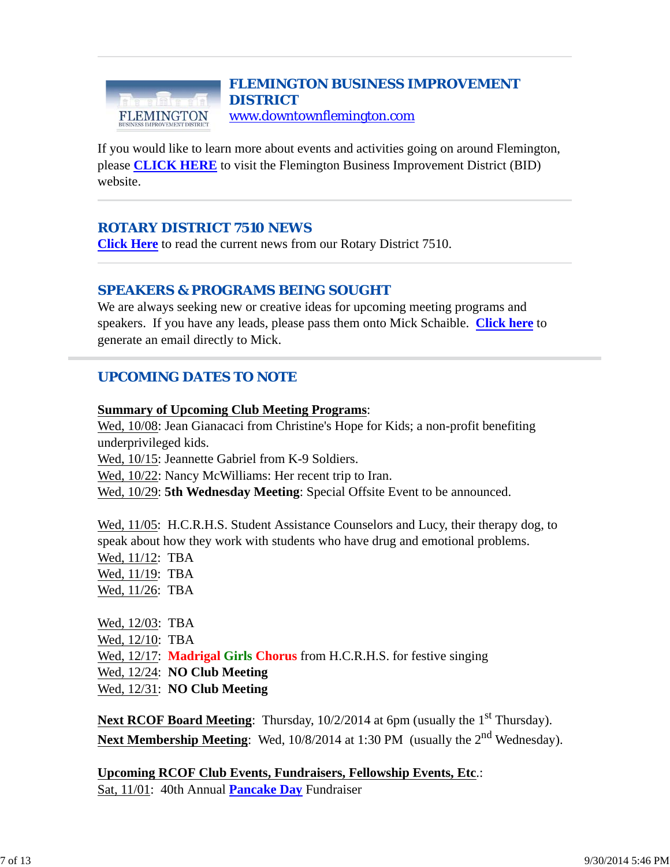#### *FLEMINGTON BUSINESS IMPROVEMENT DISTRICT* www.downtownflemington.com FLEMINGTON

If you would like to learn more about events and activities going on around Flemington, please **CLICK HERE** to visit the Flemington Business Improvement District (BID) website.

### *ROTARY DISTRICT 7510 NEWS*

**Click Here** to read the current news from our Rotary District 7510.

### *SPEAKERS & PROGRAMS BEING SOUGHT*

We are always seeking new or creative ideas for upcoming meeting programs and speakers. If you have any leads, please pass them onto Mick Schaible. **Click here** to generate an email directly to Mick.

### *UPCOMING DATES TO NOTE*

#### **Summary of Upcoming Club Meeting Programs**:

Wed, 10/08: Jean Gianacaci from Christine's Hope for Kids; a non-profit benefiting underprivileged kids.

Wed, 10/15: Jeannette Gabriel from K-9 Soldiers.

Wed, 10/22: Nancy McWilliams: Her recent trip to Iran.

Wed, 10/29: **5th Wednesday Meeting**: Special Offsite Event to be announced.

Wed, 11/05: H.C.R.H.S. Student Assistance Counselors and Lucy, their therapy dog, to speak about how they work with students who have drug and emotional problems.

Wed, 11/12: TBA Wed, 11/19: TBA Wed, 11/26: TBA

Wed, 12/03: TBA Wed, 12/10: TBA Wed, 12/17: **Madrigal Girls Chorus** from H.C.R.H.S. for festive singing Wed, 12/24: **NO Club Meeting** Wed, 12/31: **NO Club Meeting**

**Next RCOF Board Meeting:** Thursday, 10/2/2014 at 6pm (usually the 1<sup>st</sup> Thursday). Next Membership Meeting: Wed, 10/8/2014 at 1:30 PM (usually the 2<sup>nd</sup> Wednesday).

**Upcoming RCOF Club Events, Fundraisers, Fellowship Events, Etc**.: Sat, 11/01: 40th Annual **Pancake Day** Fundraiser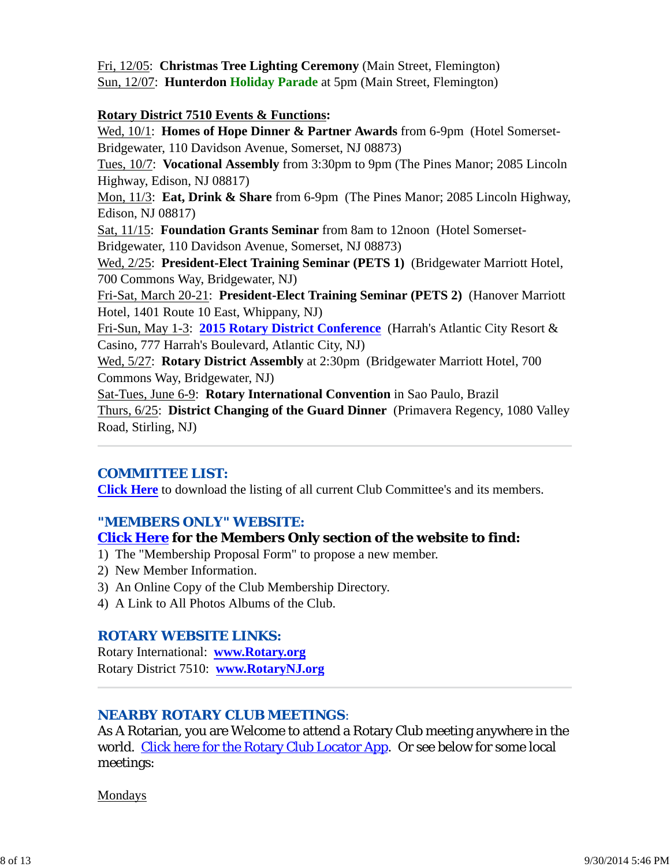Fri, 12/05: **Christmas Tree Lighting Ceremony** (Main Street, Flemington) Sun, 12/07: **Hunterdon Holiday Parade** at 5pm (Main Street, Flemington)

#### **Rotary District 7510 Events & Functions:**

Wed, 10/1: **Homes of Hope Dinner & Partner Awards** from 6-9pm (Hotel Somerset-Bridgewater, 110 Davidson Avenue, Somerset, NJ 08873)

Tues, 10/7: **Vocational Assembly** from 3:30pm to 9pm (The Pines Manor; 2085 Lincoln Highway, Edison, NJ 08817)

Mon, 11/3: **Eat, Drink & Share** from 6-9pm (The Pines Manor; 2085 Lincoln Highway, Edison, NJ 08817)

Sat, 11/15: **Foundation Grants Seminar** from 8am to 12noon (Hotel Somerset-Bridgewater, 110 Davidson Avenue, Somerset, NJ 08873)

Wed, 2/25: **President-Elect Training Seminar (PETS 1)** (Bridgewater Marriott Hotel, 700 Commons Way, Bridgewater, NJ)

Fri-Sat, March 20-21: **President-Elect Training Seminar (PETS 2)** (Hanover Marriott Hotel, 1401 Route 10 East, Whippany, NJ)

Fri-Sun, May 1-3: **2015 Rotary District Conference** (Harrah's Atlantic City Resort & Casino, 777 Harrah's Boulevard, Atlantic City, NJ)

Wed, 5/27: **Rotary District Assembly** at 2:30pm (Bridgewater Marriott Hotel, 700 Commons Way, Bridgewater, NJ)

Sat-Tues, June 6-9: **Rotary International Convention** in Sao Paulo, Brazil Thurs, 6/25: **District Changing of the Guard Dinner** (Primavera Regency, 1080 Valley Road, Stirling, NJ)

#### *COMMITTEE LIST:*

**Click Here** to download the listing of all current Club Committee's and its members.

### *"MEMBERS ONLY" WEBSITE:*

#### **Click Here for the Members Only section of the website to find:**

1) The "Membership Proposal Form" to propose a new member.

- 2) New Member Information.
- 3) An Online Copy of the Club Membership Directory.
- 4) A Link to All Photos Albums of the Club.

#### *ROTARY WEBSITE LINKS:*

Rotary International: **www.Rotary.org** Rotary District 7510: **www.RotaryNJ.org**

#### *NEARBY ROTARY CLUB MEETINGS:*

As A Rotarian, you are Welcome to attend a Rotary Club meeting anywhere in the world. Click here for the Rotary Club Locator App. Or see below for some local meetings:

Mondays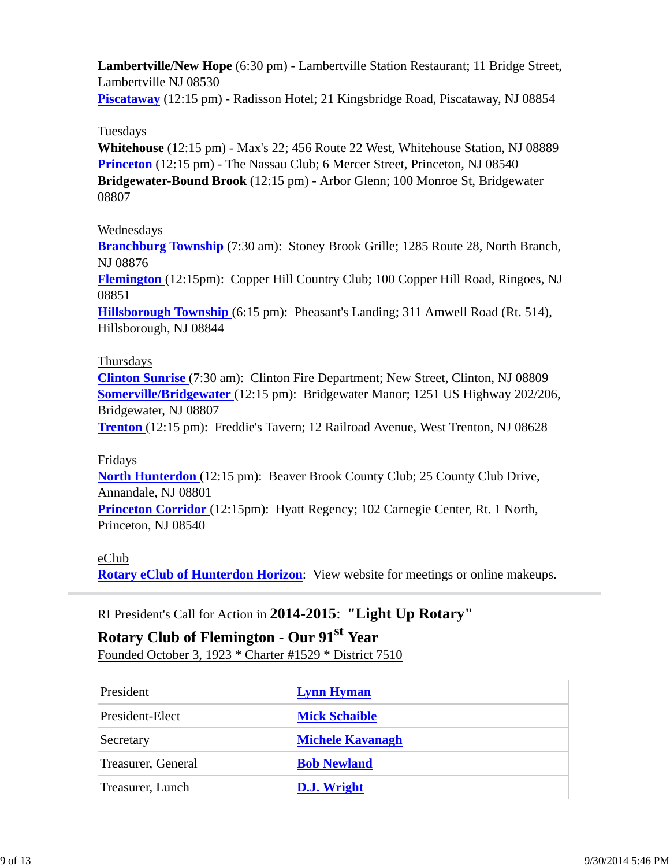**Lambertville/New Hope** (6:30 pm) - Lambertville Station Restaurant; 11 Bridge Street, Lambertville NJ 08530

**Piscataway** (12:15 pm) - Radisson Hotel; 21 Kingsbridge Road, Piscataway, NJ 08854

#### Tuesdays

**Whitehouse** (12:15 pm) - Max's 22; 456 Route 22 West, Whitehouse Station, NJ 08889 **Princeton** (12:15 pm) - The Nassau Club; 6 Mercer Street, Princeton, NJ 08540 **Bridgewater-Bound Brook** (12:15 pm) - Arbor Glenn; 100 Monroe St, Bridgewater 08807

### Wednesdays

**Branchburg Township** (7:30 am): Stoney Brook Grille; 1285 Route 28, North Branch, NJ 08876

**Flemington** (12:15pm): Copper Hill Country Club; 100 Copper Hill Road, Ringoes, NJ 08851

**Hillsborough Township** (6:15 pm): Pheasant's Landing; 311 Amwell Road (Rt. 514), Hillsborough, NJ 08844

### Thursdays

**Clinton Sunrise** (7:30 am): Clinton Fire Department; New Street, Clinton, NJ 08809 **Somerville/Bridgewater** (12:15 pm): Bridgewater Manor; 1251 US Highway 202/206, Bridgewater, NJ 08807

**Trenton** (12:15 pm): Freddie's Tavern; 12 Railroad Avenue, West Trenton, NJ 08628

#### Fridays

**North Hunterdon** (12:15 pm): Beaver Brook County Club; 25 County Club Drive, Annandale, NJ 08801

**Princeton Corridor** (12:15pm): Hyatt Regency; 102 Carnegie Center, Rt. 1 North, Princeton, NJ 08540

#### eClub

**Rotary eClub of Hunterdon Horizon**: View website for meetings or online makeups.

## RI President's Call for Action in **2014-2015**: **"Light Up Rotary"**

# **Rotary Club of Flemington - Our 91st Year**

Founded October 3, 1923 \* Charter #1529 \* District 7510

| President          | <b>Lynn Hyman</b>       |
|--------------------|-------------------------|
| President-Elect    | <b>Mick Schaible</b>    |
| Secretary          | <b>Michele Kavanagh</b> |
| Treasurer, General | <b>Bob Newland</b>      |
| Treasurer, Lunch   | <b>D.J.</b> Wright      |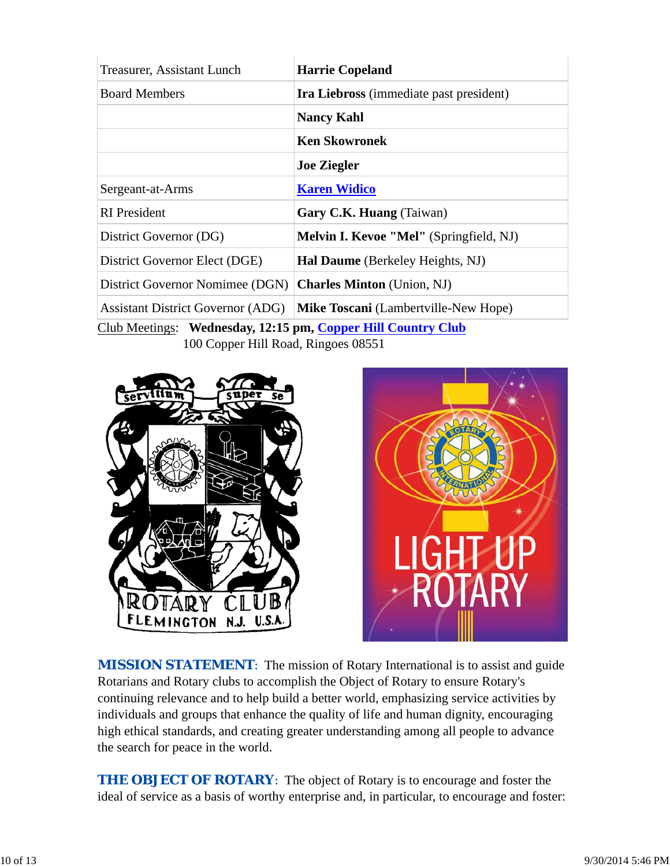| Treasurer, Assistant Lunch                                                                                   | <b>Harrie Copeland</b>                         |  |  |
|--------------------------------------------------------------------------------------------------------------|------------------------------------------------|--|--|
| <b>Board Members</b>                                                                                         | <b>Ira Liebross</b> (immediate past president) |  |  |
|                                                                                                              | <b>Nancy Kahl</b>                              |  |  |
|                                                                                                              | <b>Ken Skowronek</b>                           |  |  |
|                                                                                                              | <b>Joe Ziegler</b>                             |  |  |
| Sergeant-at-Arms                                                                                             | <b>Karen Widico</b>                            |  |  |
| <b>RI</b> President                                                                                          | Gary C.K. Huang (Taiwan)                       |  |  |
| District Governor (DG)                                                                                       | <b>Melvin I. Kevoe "Mel"</b> (Springfield, NJ) |  |  |
| District Governor Elect (DGE)                                                                                | <b>Hal Daume</b> (Berkeley Heights, NJ)        |  |  |
| District Governor Nomimee (DGN)                                                                              | <b>Charles Minton</b> (Union, NJ)              |  |  |
| <b>Assistant District Governor (ADG)</b>                                                                     | <b>Mike Toscani</b> (Lambertville-New Hope)    |  |  |
| $C_{\text{lab}}$ Mostings, Walneeder 19.15 nm $C_{\text{campon}}$ II:II $C_{\text{campon}}$ $C_{\text{lab}}$ |                                                |  |  |

Club Meetings: **Wednesday, 12:15 pm, Copper Hill Country Club** 100 Copper Hill Road, Ringoes 08551





**MISSION STATEMENT:** The mission of Rotary International is to assist and guide Rotarians and Rotary clubs to accomplish the Object of Rotary to ensure Rotary's continuing relevance and to help build a better world, emphasizing service activities by individuals and groups that enhance the quality of life and human dignity, encouraging high ethical standards, and creating greater understanding among all people to advance the search for peace in the world.

*THE OBJECT OF ROTARY*: The object of Rotary is to encourage and foster the ideal of service as a basis of worthy enterprise and, in particular, to encourage and foster: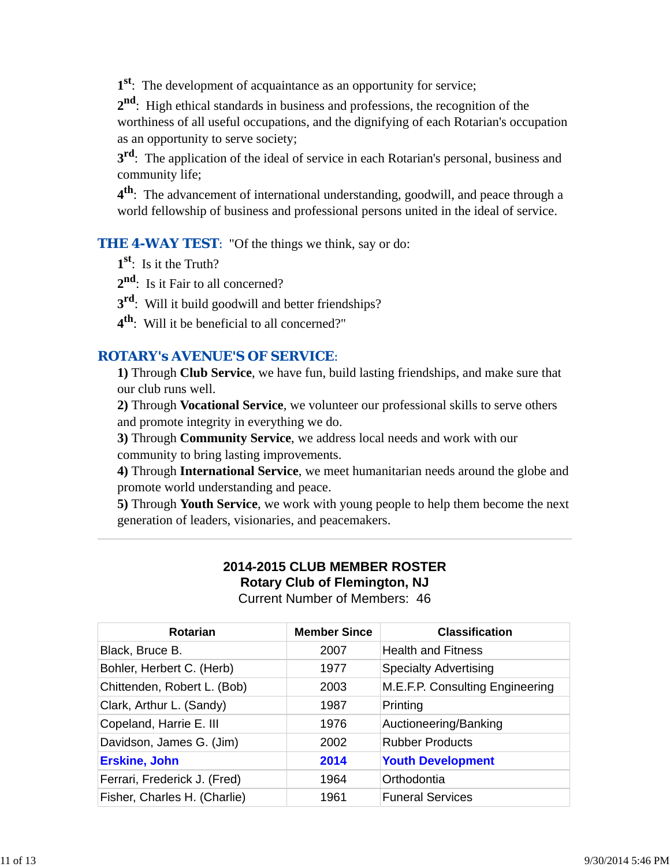**1st**: The development of acquaintance as an opportunity for service;

**2nd**: High ethical standards in business and professions, the recognition of the worthiness of all useful occupations, and the dignifying of each Rotarian's occupation as an opportunity to serve society;

**3<sup>rd</sup>**: The application of the ideal of service in each Rotarian's personal, business and community life;

**4th**: The advancement of international understanding, goodwill, and peace through a world fellowship of business and professional persons united in the ideal of service.

**THE 4-WAY TEST:** "Of the things we think, say or do:

- **1st**: Is it the Truth?
- 2<sup>nd</sup>: Is it Fair to all concerned?
- **3rd**: Will it build goodwill and better friendships?
- **4th**: Will it be beneficial to all concerned?"

### *ROTARY's AVENUE'S OF SERVICE*:

**1)** Through **Club Service**, we have fun, build lasting friendships, and make sure that our club runs well.

**2)** Through **Vocational Service**, we volunteer our professional skills to serve others and promote integrity in everything we do.

**3)** Through **Community Service**, we address local needs and work with our community to bring lasting improvements.

**4)** Through **International Service**, we meet humanitarian needs around the globe and promote world understanding and peace.

**5)** Through **Youth Service**, we work with young people to help them become the next generation of leaders, visionaries, and peacemakers.

# **2014-2015 CLUB MEMBER ROSTER Rotary Club of Flemington, NJ**

Current Number of Members: 46

| Rotarian                     | <b>Member Since</b> | <b>Classification</b>           |
|------------------------------|---------------------|---------------------------------|
| Black, Bruce B.              | 2007                | <b>Health and Fitness</b>       |
| Bohler, Herbert C. (Herb)    | 1977                | <b>Specialty Advertising</b>    |
| Chittenden, Robert L. (Bob)  | 2003                | M.E.F.P. Consulting Engineering |
| Clark, Arthur L. (Sandy)     | 1987                | Printing                        |
| Copeland, Harrie E. III      | 1976                | Auctioneering/Banking           |
| Davidson, James G. (Jim)     | 2002                | <b>Rubber Products</b>          |
| <b>Erskine, John</b>         | 2014                | <b>Youth Development</b>        |
| Ferrari, Frederick J. (Fred) | 1964                | Orthodontia                     |
| Fisher, Charles H. (Charlie) | 1961                | <b>Funeral Services</b>         |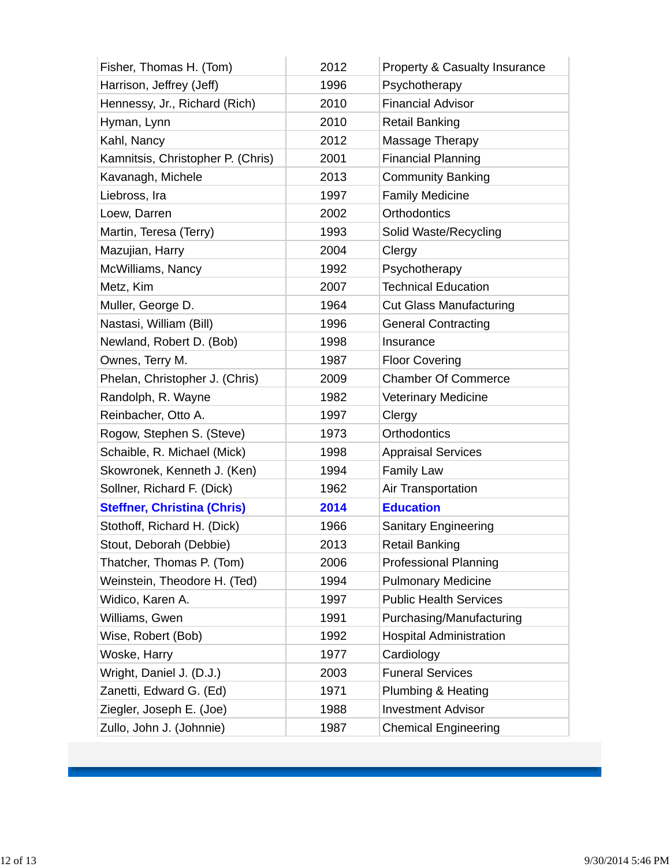| Fisher, Thomas H. (Tom)            | 2012 | Property & Casualty Insurance  |
|------------------------------------|------|--------------------------------|
| Harrison, Jeffrey (Jeff)           | 1996 | Psychotherapy                  |
| Hennessy, Jr., Richard (Rich)      | 2010 | <b>Financial Advisor</b>       |
| Hyman, Lynn                        | 2010 | <b>Retail Banking</b>          |
| Kahl, Nancy                        | 2012 | Massage Therapy                |
| Kamnitsis, Christopher P. (Chris)  | 2001 | <b>Financial Planning</b>      |
| Kavanagh, Michele                  | 2013 | <b>Community Banking</b>       |
| Liebross, Ira                      | 1997 | <b>Family Medicine</b>         |
| Loew, Darren                       | 2002 | Orthodontics                   |
| Martin, Teresa (Terry)             | 1993 | Solid Waste/Recycling          |
| Mazujian, Harry                    | 2004 | Clergy                         |
| McWilliams, Nancy                  | 1992 | Psychotherapy                  |
| Metz, Kim                          | 2007 | <b>Technical Education</b>     |
| Muller, George D.                  | 1964 | <b>Cut Glass Manufacturing</b> |
| Nastasi, William (Bill)            | 1996 | <b>General Contracting</b>     |
| Newland, Robert D. (Bob)           | 1998 | Insurance                      |
| Ownes, Terry M.                    | 1987 | <b>Floor Covering</b>          |
| Phelan, Christopher J. (Chris)     | 2009 | <b>Chamber Of Commerce</b>     |
| Randolph, R. Wayne                 | 1982 | <b>Veterinary Medicine</b>     |
| Reinbacher, Otto A.                | 1997 | Clergy                         |
| Rogow, Stephen S. (Steve)          | 1973 | Orthodontics                   |
| Schaible, R. Michael (Mick)        | 1998 | <b>Appraisal Services</b>      |
| Skowronek, Kenneth J. (Ken)        | 1994 | <b>Family Law</b>              |
| Sollner, Richard F. (Dick)         | 1962 | Air Transportation             |
| <b>Steffner, Christina (Chris)</b> | 2014 | <b>Education</b>               |
| Stothoff, Richard H. (Dick)        | 1966 | <b>Sanitary Engineering</b>    |
| Stout, Deborah (Debbie)            | 2013 | Retail Banking                 |
| Thatcher, Thomas P. (Tom)          | 2006 | <b>Professional Planning</b>   |
| Weinstein, Theodore H. (Ted)       | 1994 | <b>Pulmonary Medicine</b>      |
| Widico, Karen A.                   | 1997 | <b>Public Health Services</b>  |
| Williams, Gwen                     | 1991 | Purchasing/Manufacturing       |
| Wise, Robert (Bob)                 | 1992 | <b>Hospital Administration</b> |
| Woske, Harry                       | 1977 | Cardiology                     |
| Wright, Daniel J. (D.J.)           | 2003 | <b>Funeral Services</b>        |
| Zanetti, Edward G. (Ed)            | 1971 | Plumbing & Heating             |
| Ziegler, Joseph E. (Joe)           | 1988 | <b>Investment Advisor</b>      |
| Zullo, John J. (Johnnie)           | 1987 | <b>Chemical Engineering</b>    |